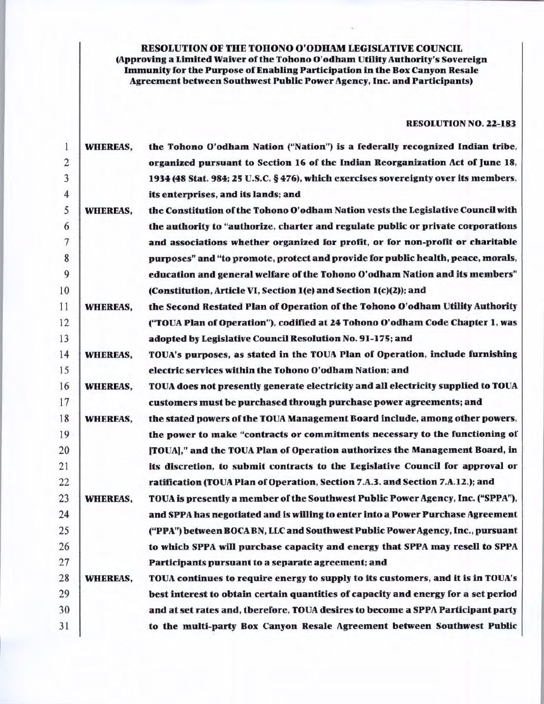RESOLUTION OF THE TOHONO O'ODHAM LEGISLATIVE COUNCIL

# (Approving a Limited Waiver of the Tohono O'odham Utility Authority's Sovereign Immunity for the Purpose of Enabling Participation in the Box Canyon Resale Agreement between Southwest Public Power Agency, Inc. and Participants)

## RESOLUTION NO. 22-183

| 1              | <b>WHEREAS,</b> | the Tohono O'odham Nation ("Nation") is a federally recognized Indian tribe.        |
|----------------|-----------------|-------------------------------------------------------------------------------------|
| $\overline{2}$ |                 | organized pursuant to Section 16 of the Indian Reorganization Act of June 18,       |
| 3              |                 | 1934 (48 Stat. 984; 25 U.S.C. § 476), which exercises sovereignty over its members, |
| $\overline{4}$ |                 | its enterprises, and its lands; and                                                 |
| 5              | <b>WHEREAS,</b> | the Constitution of the Tohono O'odham Nation vests the Legislative Council with    |
| 6              |                 | the authority to "authorize, charter and regulate public or private corporations    |
| 7              |                 | and associations whether organized for profit, or for non-profit or charitable      |
| 8              |                 | purposes" and "to promote, protect and provide for public health, peace, morals,    |
| 9              |                 | education and general welfare of the Tohono O'odham Nation and its members"         |
| 10             |                 | (Constitution, Article VI, Section 1(e) and Section 1(c)(2)); and                   |
| 11             | <b>WHEREAS,</b> | the Second Restated Plan of Operation of the Tohono O'odham Utility Authority       |
| 12             |                 | ("TOUA Plan of Operation"), codified at 24 Tohono O'odham Code Chapter 1, was       |
| 13             |                 | adopted by Legislative Council Resolution No. 91-175; and                           |
| 14             | <b>WHEREAS,</b> | TOUA's purposes, as stated in the TOUA Plan of Operation, include furnishing        |
| 15             |                 | electric services within the Tohono O'odham Nation; and                             |
| 16             | <b>WHEREAS,</b> | TOUA does not presently generate electricity and all electricity supplied to TOUA   |
| 17             |                 | customers must be purchased through purchase power agreements; and                  |
| 18             | <b>WHEREAS,</b> | the stated powers of the TOUA Management Board include, among other powers,         |
| 19             |                 | the power to make "contracts or commitments necessary to the functioning of         |
| 20             |                 | [TOUA]," and the TOUA Plan of Operation authorizes the Management Board, in         |
| 21             |                 | its discretion, to submit contracts to the Legislative Council for approval or      |
| 22             |                 | ratification (TOUA Plan of Operation, Section 7.A.3. and Section 7.A.12.); and      |
| 23             | <b>WHEREAS,</b> | TOUA is presently a member of the Southwest Public Power Agency, Inc. ("SPPA"),     |
| 24             |                 | and SPPA has negotiated and is willing to enter into a Power Purchase Agreement     |
| 25             |                 | ("PPA") between BOCA BN, LLC and Southwest Public Power Agency, Inc., pursuant      |
| 26             |                 | to which SPPA will purchase capacity and energy that SPPA may resell to SPPA        |
| 27             |                 | Participants pursuant to a separate agreement; and                                  |
| 28             | <b>WHEREAS,</b> | TOUA continues to require energy to supply to its customers, and it is in TOUA's    |
| 29             |                 | best interest to obtain certain quantities of capacity and energy for a set period  |
| 30             |                 | and at set rates and, therefore, TOUA desires to become a SPPA Participant party    |
| 31             |                 | to the multi-party Box Canyon Resale Agreement between Southwest Public             |
|                |                 |                                                                                     |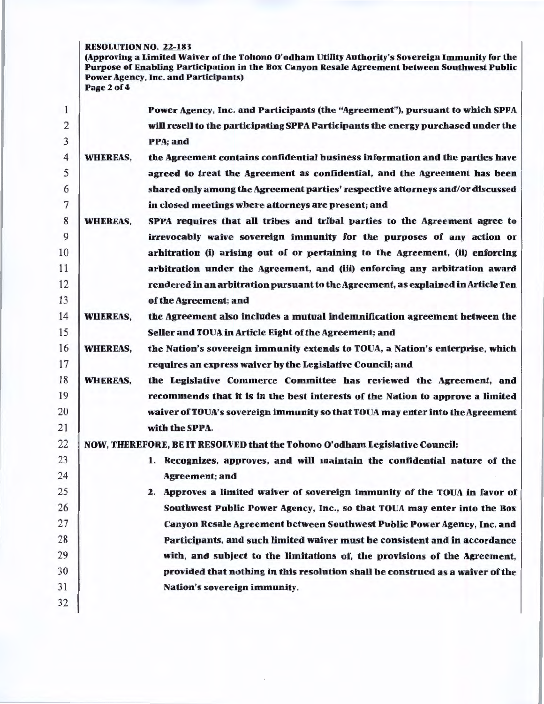### RESOLUTION NO. 22-183

(Approving a Limited Waiver of the Tohono O'odham Utility Authority's Sovereign Immunity for the Purpose of Enabling Participation in the Box Canyon Resale Agreement between Southwest Public Power Agency, Inc. and Participants) Page 2 of 4

| 1                       |                 | Power Agency, Inc. and Participants (the "Agreement"), pursuant to which SPPA     |
|-------------------------|-----------------|-----------------------------------------------------------------------------------|
| $\overline{\mathbf{c}}$ |                 | will resell to the participating SPPA Participants the energy purchased under the |
| 3                       |                 | PPA; and                                                                          |
| 4                       | <b>WHEREAS,</b> | the Agreement contains confidential business information and the parties have     |
| 5                       |                 | agreed to treat the Agreement as confidential, and the Agreement has been         |
| 6                       |                 | shared only among the Agreement parties' respective attorneys and/or discussed    |
| 7                       |                 | in closed meetings where attorneys are present; and                               |
| 8                       | <b>WHEREAS,</b> | SPPA requires that all tribes and tribal parties to the Agreement agree to        |
| 9                       |                 | irrevocably waive sovereign immunity for the purposes of any action or            |
| 10                      |                 | arhitration (i) arising out of or pertaining to the Agreement, (ii) enforcing     |
| 11                      |                 | arbitration under the Agreement, and (iii) enforcing any arbitration award        |
| 12                      |                 | rendered in an arbitration pursuant to the Agreement, as explained in Article Ten |
| 13                      |                 | of the Agreement; and                                                             |
| 14                      | <b>WHEREAS,</b> | the Agreement also includes a mutual indemnification agreement hetween the        |
| 15                      |                 | Seller and TOUA in Article Eight of the Agreement; and                            |
| 16                      | <b>WHEREAS,</b> | the Nation's sovereign immunity extends to TOUA, a Nation's enterprise, which     |
| 17                      |                 | requires an express waiver by the Legislative Council; and                        |
| 18                      | <b>WHEREAS,</b> | the Legislative Commerce Committee has reviewed the Agreement, and                |
| 19                      |                 | recommends that it is in the best interests of the Nation to approve a limited    |
| 20                      |                 | waiver of TOUA's sovereign immunity so that TOUA may enter into the Agreement     |
| 21                      |                 | with the SPPA.                                                                    |
| 22                      |                 | NOW, THEREFORE, BE IT RESOLVED that the Tohono O'odham Legislative Council:       |
| 23                      |                 | 1. Recognizes, approves, and will maintain the confidential nature of the         |
| 24                      |                 | <b>Agreement</b> ; and                                                            |
| 25                      |                 | 2. Approves a limited waiver of sovereign immunity of the TOUA in favor of        |
| 26                      |                 | Southwest Public Power Agency, Inc., so that TOUA may enter into the Box          |
| 27                      |                 | Canyon Resale Agreement between Southwest Public Power Agency, Inc. and           |
| 28                      |                 | Participants, and such limited waiver must he consistent and in accordance        |
| 29                      |                 | with, and subject to the limitations of, the provisions of the Agreement,         |
| 30                      |                 | provided that nothing in this resolution shall be construed as a waiver of the    |
| 31                      |                 | Nation's sovereign immunity.                                                      |
| 32                      |                 |                                                                                   |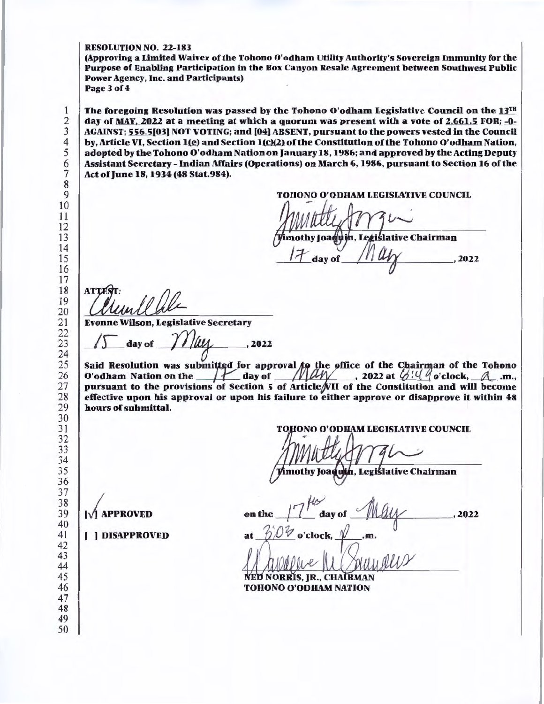RESOLUTION NO. 22-183

(Approving a Limited Waiver of the Tohono O'odham Utillty Authority's Sovereign Immunity for the Purpose of Enabling Participation in the Box Canyon Resale Agreement between Southwest Public Power Agency, Inc. and Participants) Page3of4

The foregoing Resolution was passed by the Tohono O'odham Legislative Council on the  $13^{th}$ day of MAY. 2022 at a meeting at which a quorum was present with a vote of 2,661.5 FOR; -0-AGAINST; 556.5[03] NOT VOTING; and [04] ABSENT, pursuant to the powers vested in the Council by, Article VI, Section 1(e) and Section  $1(c)(2)$  of the Constitution of the Tohono O'odham Nation, adopted by the Tohono O'odham Nation on January 18, 1986; and approved by the Acting Deputy Assistant Secretary - Indian Affairs (Operations) on March 6, 1986, pursuant to Section 16 of the Act of June 18, 1934(48 Stat.984).

TOHONO O'ODHAM LEGISIATIVE COUNCIL

 $\overline{\mathcal{L}}$ mothy Joaquin, Legislative Chairman

av of

**ATTES MUULUUE**<br>Evonne Wilson, Legislative Secretary

onne Wilson, Legislative Secretary<br>/  $\sqrt{ }$  day of  $\sqrt{ }$  /  $\gamma$  /  $\mu$  , 2022

Said Resolution was submitted for approval  $f\phi$  the office of the Chairman of the Tohono O'odham Nation on the  $H$  day of  $M\rightarrow$  2022 at  $G/H$  o'clock,  $A.m.,$ pursuant to the provisions of Section 5 of Article VII of the Constitution and will become effective upon his approval or upon his failure to either approve or disapprove it within 48 hours of submittal.

HONO O'ODHAM LEGISLATIVE COUNCIL

mothy Joaquin, Legislative Chairman

, 2022

(' APPROVED on the */1* ay of ~ -~- clock, -fu.m.

**NORRIS, JR., CHAIRMAN TOHONO O'ODHAM NATION** 

( ) DISAPPROVED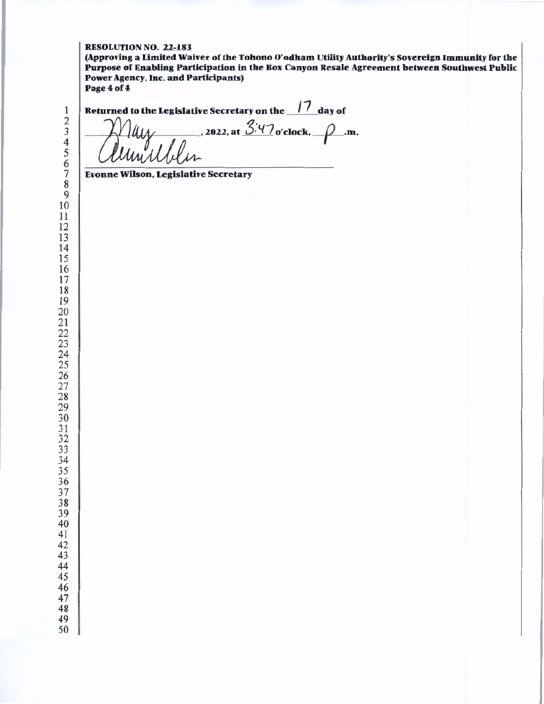### RESOLUTION NO. 22-183

(Approving a Limited Waiver of the Tohono O'odham Utility Authority's Sovereign Immunity for the Purpose of Enabling Participation in the Box Canyon Resale Agreement between Southwest Public Power Agency, Inc. and Participants) Page 4 of 4

<sup>1</sup><br>
<sup>2</sup><br>
<sup>3</sup><br>
<sup>4</sup><br>
<sup>4</sup><br> *6*<br> *Clumullur* 

Evonne Wilson, Legislative Secretary